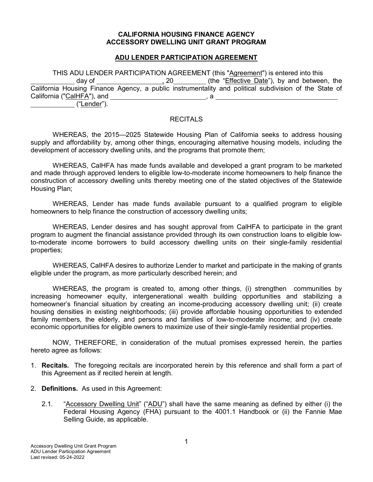#### **CALIFORNIA HOUSING FINANCE AGENCY ACCESSORY DWELLING UNIT GRANT PROGRAM**

## **ADU LENDER PARTICIPATION AGREEMENT**

THIS ADU LENDER PARTICIPATION AGREEMENT (this "Agreement") is entered into this<br>dav of (the "Effective Date"), by and betweer 1, 20 (the "Effective Date"), by and between, the California Housing Finance Agency, a public instrumentality and political subdivision of the State of California (" $CalHFA$ "), and  $\qquad \qquad \qquad$ , a ("Lender").

#### **RECITALS**

WHEREAS, the 2015—2025 Statewide Housing Plan of California seeks to address housing supply and affordability by, among other things, encouraging alternative housing models, including the development of accessory dwelling units, and the programs that promote them;

WHEREAS, CalHFA has made funds available and developed a grant program to be marketed and made through approved lenders to eligible low-to-moderate income homeowners to help finance the construction of accessory dwelling units thereby meeting one of the stated objectives of the Statewide Housing Plan;

WHEREAS, Lender has made funds available pursuant to a qualified program to eligible homeowners to help finance the construction of accessory dwelling units;

WHEREAS, Lender desires and has sought approval from CalHFA to participate in the grant program to augment the financial assistance provided through its own construction loans to eligible lowto-moderate income borrowers to build accessory dwelling units on their single-family residential properties;

WHEREAS, CalHFA desires to authorize Lender to market and participate in the making of grants eligible under the program, as more particularly described herein; and

WHEREAS, the program is created to, among other things, (i) strengthen communities by increasing homeowner equity, intergenerational wealth building opportunities and stabilizing a homeowner's financial situation by creating an income-producing accessory dwelling unit; (ii) create housing densities in existing neighborhoods; (iii) provide affordable housing opportunities to extended family members, the elderly, and persons and families of low-to-moderate income; and (iv) create economic opportunities for eligible owners to maximize use of their single-family residential properties.

NOW, THEREFORE, in consideration of the mutual promises expressed herein, the parties hereto agree as follows:

- 1. **Recitals.** The foregoing recitals are incorporated herein by this reference and shall form a part of this Agreement as if recited herein at length.
- 2. **Definitions.** As used in this Agreement:
	- 2.1. "Accessory Dwelling Unit" ("ADU") shall have the same meaning as defined by either (i) the Federal Housing Agency (FHA) pursuant to the 4001.1 Handbook or (ii) the Fannie Mae Selling Guide, as applicable.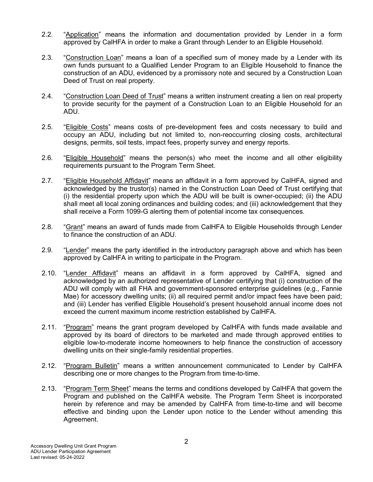- 2.2. "Application" means the information and documentation provided by Lender in a form approved by CalHFA in order to make a Grant through Lender to an Eligible Household.
- 2.3. "Construction Loan" means a loan of a specified sum of money made by a Lender with its own funds pursuant to a Qualified Lender Program to an Eligible Household to finance the construction of an ADU, evidenced by a promissory note and secured by a Construction Loan Deed of Trust on real property.
- 2.4. "Construction Loan Deed of Trust" means a written instrument creating a lien on real property to provide security for the payment of a Construction Loan to an Eligible Household for an ADU.
- 2.5. "Eligible Costs" means costs of pre-development fees and costs necessary to build and occupy an ADU, including but not limited to, non-reoccurring closing costs, architectural designs, permits, soil tests, impact fees, property survey and energy reports.
- 2.6. "Eligible Household" means the person(s) who meet the income and all other eligibility requirements pursuant to the Program Term Sheet.
- 2.7. "Eligible Household Affidavit" means an affidavit in a form approved by CalHFA, signed and acknowledged by the trustor(s) named in the Construction Loan Deed of Trust certifying that (i) the residential property upon which the ADU will be built is owner-occupied; (ii) the ADU shall meet all local zoning ordinances and building codes; and (iii) acknowledgement that they shall receive a Form 1099-G alerting them of potential income tax consequences.
- 2.8. "Grant" means an award of funds made from CalHFA to Eligible Households through Lender to finance the construction of an ADU.
- 2.9. "Lender" means the party identified in the introductory paragraph above and which has been approved by CalHFA in writing to participate in the Program.
- 2.10. "Lender Affidavit" means an affidavit in a form approved by CalHFA, signed and acknowledged by an authorized representative of Lender certifying that (i) construction of the ADU will comply with all FHA and government-sponsored enterprise guidelines (e.g., Fannie Mae) for accessory dwelling units; (ii) all required permit and/or impact fees have been paid; and (iii) Lender has verified Eligible Household's present household annual income does not exceed the current maximum income restriction established by CalHFA.
- 2.11. "Program" means the grant program developed by CalHFA with funds made available and approved by its board of directors to be marketed and made through approved entities to eligible low-to-moderate income homeowners to help finance the construction of accessory dwelling units on their single-family residential properties.
- 2.12. "Program Bulletin" means a written announcement communicated to Lender by CalHFA describing one or more changes to the Program from time-to-time.
- 2.13. "Program Term Sheet" means the terms and conditions developed by CalHFA that govern the Program and published on the CalHFA website. The Program Term Sheet is incorporated herein by reference and may be amended by CalHFA from time-to-time and will become effective and binding upon the Lender upon notice to the Lender without amending this Agreement.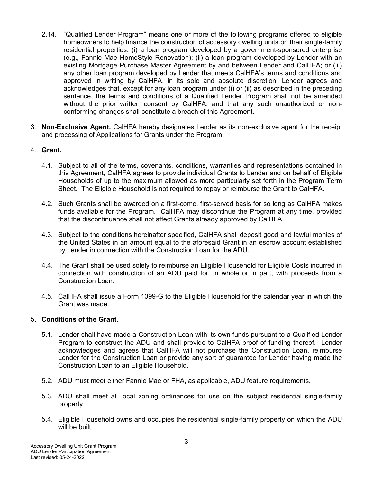- 2.14. "Qualified Lender Program" means one or more of the following programs offered to eligible homeowners to help finance the construction of accessory dwelling units on their single-family residential properties: (i) a loan program developed by a government-sponsored enterprise (e.g., Fannie Mae HomeStyle Renovation); (ii) a loan program developed by Lender with an existing Mortgage Purchase Master Agreement by and between Lender and CalHFA; or (iii) any other loan program developed by Lender that meets CalHFA's terms and conditions and approved in writing by CalHFA, in its sole and absolute discretion. Lender agrees and acknowledges that, except for any loan program under (i) or (ii) as described in the preceding sentence, the terms and conditions of a Qualified Lender Program shall not be amended without the prior written consent by CalHFA, and that any such unauthorized or nonconforming changes shall constitute a breach of this Agreement.
- 3. **Non-Exclusive Agent.** CalHFA hereby designates Lender as its non-exclusive agent for the receipt and processing of Applications for Grants under the Program.

# 4. **Grant.**

- 4.1. Subject to all of the terms, covenants, conditions, warranties and representations contained in this Agreement, CalHFA agrees to provide individual Grants to Lender and on behalf of Eligible Households of up to the maximum allowed as more particularly set forth in the Program Term Sheet. The Eligible Household is not required to repay or reimburse the Grant to CalHFA.
- 4.2. Such Grants shall be awarded on a first-come, first-served basis for so long as CalHFA makes funds available for the Program. CalHFA may discontinue the Program at any time, provided that the discontinuance shall not affect Grants already approved by CalHFA.
- 4.3. Subject to the conditions hereinafter specified, CalHFA shall deposit good and lawful monies of the United States in an amount equal to the aforesaid Grant in an escrow account established by Lender in connection with the Construction Loan for the ADU.
- 4.4. The Grant shall be used solely to reimburse an Eligible Household for Eligible Costs incurred in connection with construction of an ADU paid for, in whole or in part, with proceeds from a Construction Loan.
- 4.5. CalHFA shall issue a Form 1099-G to the Eligible Household for the calendar year in which the Grant was made.

## 5. **Conditions of the Grant.**

- 5.1. Lender shall have made a Construction Loan with its own funds pursuant to a Qualified Lender Program to construct the ADU and shall provide to CalHFA proof of funding thereof. Lender acknowledges and agrees that CalHFA will not purchase the Construction Loan, reimburse Lender for the Construction Loan or provide any sort of guarantee for Lender having made the Construction Loan to an Eligible Household.
- 5.2. ADU must meet either Fannie Mae or FHA, as applicable, ADU feature requirements.
- 5.3. ADU shall meet all local zoning ordinances for use on the subject residential single-family property.
- 5.4. Eligible Household owns and occupies the residential single-family property on which the ADU will be built.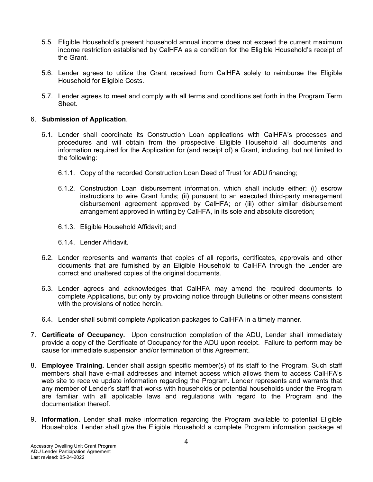- 5.5. Eligible Household's present household annual income does not exceed the current maximum income restriction established by CalHFA as a condition for the Eligible Household's receipt of the Grant.
- 5.6. Lender agrees to utilize the Grant received from CalHFA solely to reimburse the Eligible Household for Eligible Costs.
- 5.7. Lender agrees to meet and comply with all terms and conditions set forth in the Program Term Sheet.

## 6. **Submission of Application**.

- 6.1. Lender shall coordinate its Construction Loan applications with CalHFA's processes and procedures and will obtain from the prospective Eligible Household all documents and information required for the Application for (and receipt of) a Grant, including, but not limited to the following:
	- 6.1.1. Copy of the recorded Construction Loan Deed of Trust for ADU financing;
	- 6.1.2. Construction Loan disbursement information, which shall include either: (i) escrow instructions to wire Grant funds; (ii) pursuant to an executed third-party management disbursement agreement approved by CalHFA; or (iii) other similar disbursement arrangement approved in writing by CalHFA, in its sole and absolute discretion;
	- 6.1.3. Eligible Household Affidavit; and
	- 6.1.4. Lender Affidavit.
- 6.2. Lender represents and warrants that copies of all reports, certificates, approvals and other documents that are furnished by an Eligible Household to CalHFA through the Lender are correct and unaltered copies of the original documents.
- 6.3. Lender agrees and acknowledges that CalHFA may amend the required documents to complete Applications, but only by providing notice through Bulletins or other means consistent with the provisions of notice herein.
- 6.4. Lender shall submit complete Application packages to CalHFA in a timely manner.
- 7. **Certificate of Occupancy.** Upon construction completion of the ADU, Lender shall immediately provide a copy of the Certificate of Occupancy for the ADU upon receipt. Failure to perform may be cause for immediate suspension and/or termination of this Agreement.
- 8. **Employee Training.** Lender shall assign specific member(s) of its staff to the Program. Such staff members shall have e-mail addresses and internet access which allows them to access CalHFA's web site to receive update information regarding the Program. Lender represents and warrants that any member of Lender's staff that works with households or potential households under the Program are familiar with all applicable laws and regulations with regard to the Program and the documentation thereof.
- 9. **Information.** Lender shall make information regarding the Program available to potential Eligible Households. Lender shall give the Eligible Household a complete Program information package at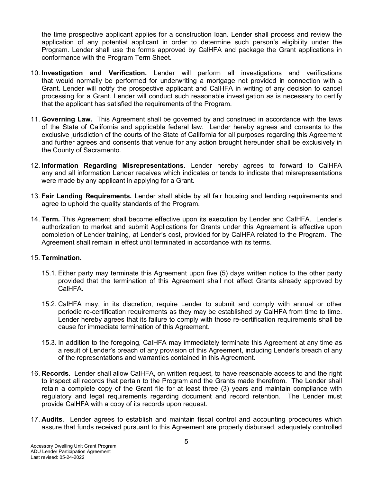the time prospective applicant applies for a construction loan. Lender shall process and review the application of any potential applicant in order to determine such person's eligibility under the Program. Lender shall use the forms approved by CalHFA and package the Grant applications in conformance with the Program Term Sheet.

- 10. **Investigation and Verification.** Lender will perform all investigations and verifications that would normally be performed for underwriting a mortgage not provided in connection with a Grant. Lender will notify the prospective applicant and CalHFA in writing of any decision to cancel processing for a Grant. Lender will conduct such reasonable investigation as is necessary to certify that the applicant has satisfied the requirements of the Program.
- 11. **Governing Law.** This Agreement shall be governed by and construed in accordance with the laws of the State of California and applicable federal law. Lender hereby agrees and consents to the exclusive jurisdiction of the courts of the State of California for all purposes regarding this Agreement and further agrees and consents that venue for any action brought hereunder shall be exclusively in the County of Sacramento.
- 12. **Information Regarding Misrepresentations.** Lender hereby agrees to forward to CalHFA any and all information Lender receives which indicates or tends to indicate that misrepresentations were made by any applicant in applying for a Grant.
- 13. **Fair Lending Requirements.** Lender shall abide by all fair housing and lending requirements and agree to uphold the quality standards of the Program.
- 14. **Term.** This Agreement shall become effective upon its execution by Lender and CalHFA. Lender's authorization to market and submit Applications for Grants under this Agreement is effective upon completion of Lender training, at Lender's cost, provided for by CalHFA related to the Program. The Agreement shall remain in effect until terminated in accordance with its terms.

## 15. **Termination.**

- 15.1. Either party may terminate this Agreement upon five (5) days written notice to the other party provided that the termination of this Agreement shall not affect Grants already approved by CalHFA.
- 15.2. CalHFA may, in its discretion, require Lender to submit and comply with annual or other periodic re-certification requirements as they may be established by CalHFA from time to time. Lender hereby agrees that its failure to comply with those re-certification requirements shall be cause for immediate termination of this Agreement.
- 15.3. In addition to the foregoing, CalHFA may immediately terminate this Agreement at any time as a result of Lender's breach of any provision of this Agreement, including Lender's breach of any of the representations and warranties contained in this Agreement.
- 16. **Records**. Lender shall allow CalHFA, on written request, to have reasonable access to and the right to inspect all records that pertain to the Program and the Grants made therefrom. The Lender shall retain a complete copy of the Grant file for at least three (3) years and maintain compliance with regulatory and legal requirements regarding document and record retention. The Lender must provide CalHFA with a copy of its records upon request.
- 17. **Audits**. Lender agrees to establish and maintain fiscal control and accounting procedures which assure that funds received pursuant to this Agreement are properly disbursed, adequately controlled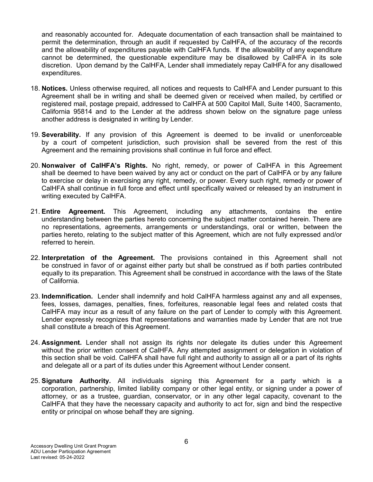and reasonably accounted for. Adequate documentation of each transaction shall be maintained to permit the determination, through an audit if requested by CalHFA, of the accuracy of the records and the allowability of expenditures payable with CalHFA funds. If the allowability of any expenditure cannot be determined, the questionable expenditure may be disallowed by CalHFA in its sole discretion. Upon demand by the CalHFA, Lender shall immediately repay CalHFA for any disallowed expenditures.

- 18. **Notices.** Unless otherwise required, all notices and requests to CalHFA and Lender pursuant to this Agreement shall be in writing and shall be deemed given or received when mailed, by certified or registered mail, postage prepaid, addressed to CalHFA at 500 Capitol Mall, Suite 1400, Sacramento, California 95814 and to the Lender at the address shown below on the signature page unless another address is designated in writing by Lender.
- 19. **Severability.** If any provision of this Agreement is deemed to be invalid or unenforceable by a court of competent jurisdiction, such provision shall be severed from the rest of this Agreement and the remaining provisions shall continue in full force and effect.
- 20. **Nonwaiver of CalHFA's Rights.** No right, remedy, or power of CalHFA in this Agreement shall be deemed to have been waived by any act or conduct on the part of CalHFA or by any failure to exercise or delay in exercising any right, remedy, or power. Every such right, remedy or power of CalHFA shall continue in full force and effect until specifically waived or released by an instrument in writing executed by CalHFA.
- 21. **Entire Agreement.** This Agreement, including any attachments, contains the entire understanding between the parties hereto concerning the subject matter contained herein. There are no representations, agreements, arrangements or understandings, oral or written, between the parties hereto, relating to the subject matter of this Agreement, which are not fully expressed and/or referred to herein.
- 22. **Interpretation of the Agreement.** The provisions contained in this Agreement shall not be construed in favor of or against either party but shall be construed as if both parties contributed equally to its preparation. This Agreement shall be construed in accordance with the laws of the State of California.
- 23. **Indemnification.** Lender shall indemnify and hold CalHFA harmless against any and all expenses, fees, losses, damages, penalties, fines, forfeitures, reasonable legal fees and related costs that CalHFA may incur as a result of any failure on the part of Lender to comply with this Agreement. Lender expressly recognizes that representations and warranties made by Lender that are not true shall constitute a breach of this Agreement.
- 24. **Assignment.** Lender shall not assign its rights nor delegate its duties under this Agreement without the prior written consent of CalHFA. Any attempted assignment or delegation in violation of this section shall be void. CalHFA shall have full right and authority to assign all or a part of its rights and delegate all or a part of its duties under this Agreement without Lender consent.
- 25. **Signature Authority.** All individuals signing this Agreement for a party which is a corporation, partnership, limited liability company or other legal entity, or signing under a power of attorney, or as a trustee, guardian, conservator, or in any other legal capacity, covenant to the CalHFA that they have the necessary capacity and authority to act for, sign and bind the respective entity or principal on whose behalf they are signing.